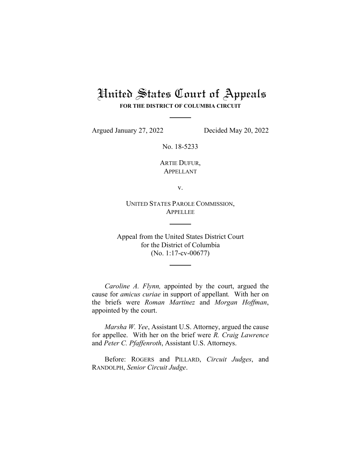# United States Court of Appeals

**FOR THE DISTRICT OF COLUMBIA CIRCUIT**

Argued January 27, 2022 Decided May 20, 2022

No. 18-5233

ARTIE DUFUR, APPELLANT

v.

UNITED STATES PAROLE COMMISSION, **APPELLEE** 

Appeal from the United States District Court for the District of Columbia (No. 1:17-cv-00677)

*Caroline A. Flynn,* appointed by the court, argued the cause for *amicus curiae* in support of appellant*.* With her on the briefs were *Roman Martinez* and *Morgan Hoffman*, appointed by the court.

*Marsha W. Yee*, Assistant U.S. Attorney, argued the cause for appellee. With her on the brief were *R. Craig Lawrence* and *Peter C. Pfaffenroth*, Assistant U.S. Attorneys.

Before: ROGERS and PILLARD, *Circuit Judges*, and RANDOLPH, *Senior Circuit Judge*.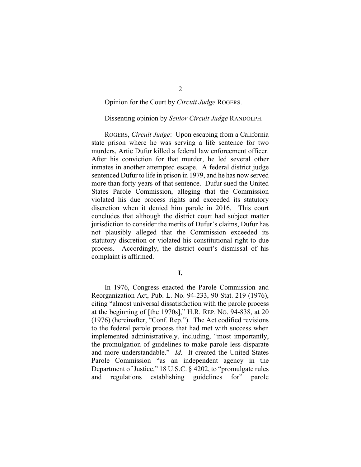# Opinion for the Court by *Circuit Judge* ROGERS.

# Dissenting opinion by *Senior Circuit Judge* RANDOLPH.

ROGERS, *Circuit Judge*: Upon escaping from a California state prison where he was serving a life sentence for two murders, Artie Dufur killed a federal law enforcement officer. After his conviction for that murder, he led several other inmates in another attempted escape. A federal district judge sentenced Dufur to life in prison in 1979, and he has now served more than forty years of that sentence. Dufur sued the United States Parole Commission, alleging that the Commission violated his due process rights and exceeded its statutory discretion when it denied him parole in 2016. This court concludes that although the district court had subject matter jurisdiction to consider the merits of Dufur's claims, Dufur has not plausibly alleged that the Commission exceeded its statutory discretion or violated his constitutional right to due process. Accordingly, the district court's dismissal of his complaint is affirmed.

**I.**

In 1976, Congress enacted the Parole Commission and Reorganization Act, Pub. L. No. 94-233, 90 Stat. 219 (1976), citing "almost universal dissatisfaction with the parole process at the beginning of [the 1970s]," H.R. REP. NO. 94-838, at 20 (1976) (hereinafter, "Conf. Rep."). The Act codified revisions to the federal parole process that had met with success when implemented administratively, including, "most importantly, the promulgation of guidelines to make parole less disparate and more understandable." *Id.* It created the United States Parole Commission "as an independent agency in the Department of Justice," 18 U.S.C. § 4202, to "promulgate rules and regulations establishing guidelines for" parole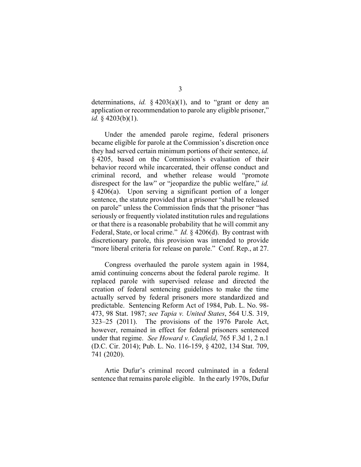determinations, *id.* § 4203(a)(1), and to "grant or deny an application or recommendation to parole any eligible prisoner," *id.* § 4203(b)(1).

Under the amended parole regime, federal prisoners became eligible for parole at the Commission's discretion once they had served certain minimum portions of their sentence, *id.* § 4205, based on the Commission's evaluation of their behavior record while incarcerated, their offense conduct and criminal record, and whether release would "promote disrespect for the law" or "jeopardize the public welfare," *id.* § 4206(a). Upon serving a significant portion of a longer sentence, the statute provided that a prisoner "shall be released on parole" unless the Commission finds that the prisoner "has seriously or frequently violated institution rules and regulations or that there is a reasonable probability that he will commit any Federal, State, or local crime." *Id.* § 4206(d). By contrast with discretionary parole, this provision was intended to provide "more liberal criteria for release on parole." Conf. Rep., at 27.

Congress overhauled the parole system again in 1984, amid continuing concerns about the federal parole regime. It replaced parole with supervised release and directed the creation of federal sentencing guidelines to make the time actually served by federal prisoners more standardized and predictable. Sentencing Reform Act of 1984, Pub. L. No. 98- 473, 98 Stat. 1987; *see Tapia v. United States*, 564 U.S. 319, 323–25 (2011). The provisions of the 1976 Parole Act, however, remained in effect for federal prisoners sentenced under that regime. *See Howard v. Caufield*, 765 F.3d 1, 2 n.1 (D.C. Cir. 2014); Pub. L. No. 116-159, § 4202, 134 Stat. 709, 741 (2020).

Artie Dufur's criminal record culminated in a federal sentence that remains parole eligible. In the early 1970s, Dufur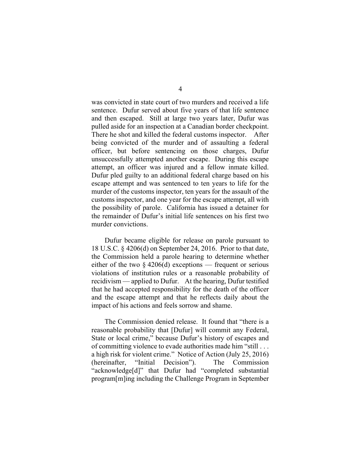was convicted in state court of two murders and received a life sentence. Dufur served about five years of that life sentence and then escaped. Still at large two years later, Dufur was pulled aside for an inspection at a Canadian border checkpoint. There he shot and killed the federal customs inspector. After being convicted of the murder and of assaulting a federal officer, but before sentencing on those charges, Dufur unsuccessfully attempted another escape. During this escape attempt, an officer was injured and a fellow inmate killed. Dufur pled guilty to an additional federal charge based on his escape attempt and was sentenced to ten years to life for the murder of the customs inspector, ten years for the assault of the customs inspector, and one year for the escape attempt, all with the possibility of parole. California has issued a detainer for the remainder of Dufur's initial life sentences on his first two murder convictions.

Dufur became eligible for release on parole pursuant to 18 U.S.C. § 4206(d) on September 24, 2016. Prior to that date, the Commission held a parole hearing to determine whether either of the two  $\S$  4206(d) exceptions — frequent or serious violations of institution rules or a reasonable probability of recidivism — applied to Dufur. At the hearing, Dufur testified that he had accepted responsibility for the death of the officer and the escape attempt and that he reflects daily about the impact of his actions and feels sorrow and shame.

The Commission denied release. It found that "there is a reasonable probability that [Dufur] will commit any Federal, State or local crime," because Dufur's history of escapes and of committing violence to evade authorities made him "still . . . a high risk for violent crime." Notice of Action (July 25, 2016) (hereinafter, "Initial Decision"). The Commission "acknowledge[d]" that Dufur had "completed substantial program[m]ing including the Challenge Program in September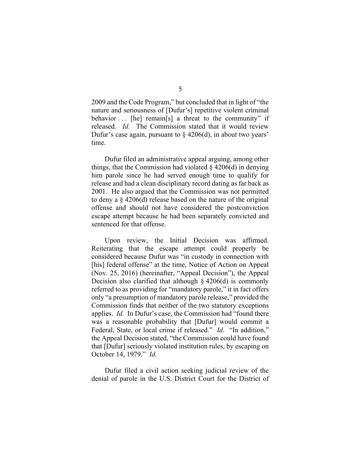2009 and the Code Program," but concluded that in light of "the nature and seriousness of [Dufur's] repetitive violent criminal behavior  $\ldots$  [he] remain[s] a threat to the community" if released. *Id.* The Commission stated that it would review Dufur's case again, pursuant to  $\S$  4206(d), in about two years' time.

Dufur filed an administrative appeal arguing, among other things, that the Commission had violated  $\S$  4206(d) in denying him parole since he had served enough time to qualify for release and had a clean disciplinary record dating as far back as 2001. He also argued that the Commission was not permitted to deny a § 4206(d) release based on the nature of the original offense and should not have considered the postconviction escape attempt because he had been separately convicted and sentenced for that offense.

Upon review, the Initial Decision was affirmed. Reiterating that the escape attempt could properly be considered because Dufur was "in custody in connection with [his] federal offense" at the time, Notice of Action on Appeal (Nov. 25, 2016) (hereinafter, "Appeal Decision"), the Appeal Decision also clarified that although  $\S$  4206(d) is commonly referred to as providing for "mandatory parole," it in fact offers only "a presumption of mandatory parole release," provided the Commission finds that neither of the two statutory exceptions applies. *Id.* In Dufur's case, the Commission had "found there was a reasonable probability that [Dufur] would commit a Federal, State, or local crime if released." *Id.* "In addition," the Appeal Decision stated, "the Commission could have found that [Dufur] seriously violated institution rules, by escaping on October 14, 1979." *Id.*

Dufur filed a civil action seeking judicial review of the denial of parole in the U.S. District Court for the District of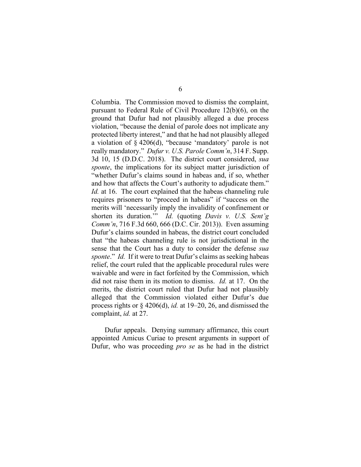Columbia. The Commission moved to dismiss the complaint, pursuant to Federal Rule of Civil Procedure 12(b)(6), on the ground that Dufur had not plausibly alleged a due process violation, "because the denial of parole does not implicate any protected liberty interest," and that he had not plausibly alleged a violation of § 4206(d), "because 'mandatory' parole is not really mandatory." *Dufur v. U.S. Parole Comm'n*, 314 F. Supp. 3d 10, 15 (D.D.C. 2018). The district court considered, *sua sponte*, the implications for its subject matter jurisdiction of "whether Dufur's claims sound in habeas and, if so, whether and how that affects the Court's authority to adjudicate them." *Id.* at 16. The court explained that the habeas channeling rule requires prisoners to "proceed in habeas" if "success on the merits will 'necessarily imply the invalidity of confinement or shorten its duration.'" *Id.* (quoting *Davis v. U.S. Sent'g Comm'n*, 716 F.3d 660, 666 (D.C. Cir. 2013)). Even assuming Dufur's claims sounded in habeas, the district court concluded that "the habeas channeling rule is not jurisdictional in the sense that the Court has a duty to consider the defense *sua sponte*." *Id.* If it were to treat Dufur's claims as seeking habeas relief, the court ruled that the applicable procedural rules were waivable and were in fact forfeited by the Commission, which did not raise them in its motion to dismiss. *Id.* at 17. On the merits, the district court ruled that Dufur had not plausibly alleged that the Commission violated either Dufur's due process rights or § 4206(d), *id.* at 19–20, 26, and dismissed the complaint, *id.* at 27.

Dufur appeals. Denying summary affirmance, this court appointed Amicus Curiae to present arguments in support of Dufur, who was proceeding *pro se* as he had in the district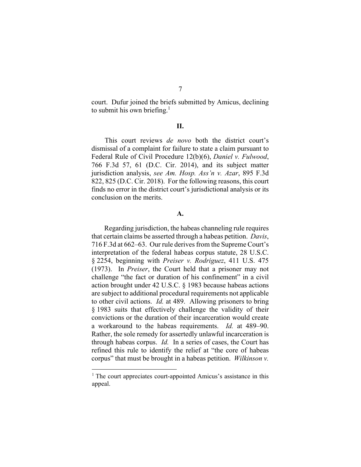court. Dufur joined the briefs submitted by Amicus, declining to submit his own briefing.<sup>1</sup>

### **II.**

This court reviews *de novo* both the district court's dismissal of a complaint for failure to state a claim pursuant to Federal Rule of Civil Procedure 12(b)(6), *Daniel v. Fulwood*, 766 F.3d 57, 61 (D.C. Cir. 2014), and its subject matter jurisdiction analysis, *see Am. Hosp. Ass'n v. Azar*, 895 F.3d 822, 825 (D.C. Cir. 2018). For the following reasons, this court finds no error in the district court's jurisdictional analysis or its conclusion on the merits.

#### **A.**

Regarding jurisdiction, the habeas channeling rule requires that certain claims be asserted through a habeas petition. *Davis*, 716 F.3d at 662–63. Our rule derives from the Supreme Court's interpretation of the federal habeas corpus statute, 28 U.S.C. § 2254, beginning with *Preiser v. Rodriguez*, 411 U.S. 475 (1973). In *Preiser*, the Court held that a prisoner may not challenge "the fact or duration of his confinement" in a civil action brought under 42 U.S.C. § 1983 because habeas actions are subject to additional procedural requirements not applicable to other civil actions. *Id.* at 489. Allowing prisoners to bring § 1983 suits that effectively challenge the validity of their convictions or the duration of their incarceration would create a workaround to the habeas requirements. *Id.* at 489–90. Rather, the sole remedy for assertedly unlawful incarceration is through habeas corpus. *Id.* In a series of cases, the Court has refined this rule to identify the relief at "the core of habeas corpus" that must be brought in a habeas petition. *Wilkinson v.*

<sup>&</sup>lt;sup>1</sup> The court appreciates court-appointed Amicus's assistance in this appeal.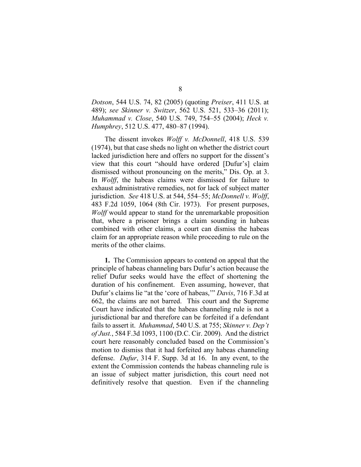*Dotson*, 544 U.S. 74, 82 (2005) (quoting *Preiser*, 411 U.S. at 489); *see Skinner v. Switzer*, 562 U.S. 521, 533–36 (2011); *Muhammad v. Close*, 540 U.S. 749, 754–55 (2004); *Heck v. Humphrey*, 512 U.S. 477, 480–87 (1994).

The dissent invokes *Wolff v. McDonnell*, 418 U.S. 539 (1974), but that case sheds no light on whether the district court lacked jurisdiction here and offers no support for the dissent's view that this court "should have ordered [Dufur's] claim dismissed without pronouncing on the merits," Dis. Op. at 3. In *Wolff*, the habeas claims were dismissed for failure to exhaust administrative remedies, not for lack of subject matter jurisdiction. *See* 418 U.S. at 544, 554–55; *McDonnell v. Wolff*, 483 F.2d 1059, 1064 (8th Cir. 1973). For present purposes, *Wolff* would appear to stand for the unremarkable proposition that, where a prisoner brings a claim sounding in habeas combined with other claims, a court can dismiss the habeas claim for an appropriate reason while proceeding to rule on the merits of the other claims.

**1.** The Commission appears to contend on appeal that the principle of habeas channeling bars Dufur's action because the relief Dufur seeks would have the effect of shortening the duration of his confinement. Even assuming, however, that Dufur's claims lie "at the 'core of habeas,'" *Davis*, 716 F.3d at 662, the claims are not barred. This court and the Supreme Court have indicated that the habeas channeling rule is not a jurisdictional bar and therefore can be forfeited if a defendant fails to assert it. *Muhammad*, 540 U.S. at 755; *Skinner v. Dep't of Just.*, 584 F.3d 1093, 1100 (D.C. Cir. 2009). And the district court here reasonably concluded based on the Commission's motion to dismiss that it had forfeited any habeas channeling defense. *Dufur*, 314 F. Supp. 3d at 16. In any event, to the extent the Commission contends the habeas channeling rule is an issue of subject matter jurisdiction, this court need not definitively resolve that question. Even if the channeling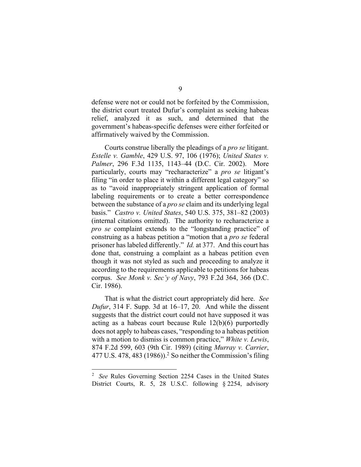defense were not or could not be forfeited by the Commission, the district court treated Dufur's complaint as seeking habeas relief, analyzed it as such, and determined that the government's habeas-specific defenses were either forfeited or affirmatively waived by the Commission.

Courts construe liberally the pleadings of a *pro se* litigant. *Estelle v. Gamble*, 429 U.S. 97, 106 (1976); *United States v. Palmer*, 296 F.3d 1135, 1143–44 (D.C. Cir. 2002). More particularly, courts may "recharacterize" a *pro se* litigant's filing "in order to place it within a different legal category" so as to "avoid inappropriately stringent application of formal labeling requirements or to create a better correspondence between the substance of a *pro se* claim and its underlying legal basis." *Castro v. United States*, 540 U.S. 375, 381–82 (2003) (internal citations omitted). The authority to recharacterize a *pro se* complaint extends to the "longstanding practice" of construing as a habeas petition a "motion that a *pro se* federal prisoner has labeled differently." *Id.* at 377. And this court has done that, construing a complaint as a habeas petition even though it was not styled as such and proceeding to analyze it according to the requirements applicable to petitions for habeas corpus. *See Monk v. Sec'y of Navy*, 793 F.2d 364, 366 (D.C. Cir. 1986).

That is what the district court appropriately did here. *See Dufur*, 314 F. Supp. 3d at 16–17, 20. And while the dissent suggests that the district court could not have supposed it was acting as a habeas court because Rule 12(b)(6) purportedly does not apply to habeas cases, "responding to a habeas petition with a motion to dismiss is common practice," *White v. Lewis*, 874 F.2d 599, 603 (9th Cir. 1989) (citing *Murray v. Carrier*,  $477$  U.S.  $478$ ,  $483$  (1986)).<sup>2</sup> So neither the Commission's filing

<sup>2</sup> *See* Rules Governing Section 2254 Cases in the United States District Courts, R. 5, 28 U.S.C. following § 2254, advisory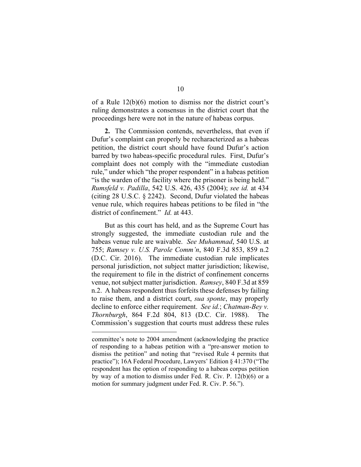of a Rule 12(b)(6) motion to dismiss nor the district court's ruling demonstrates a consensus in the district court that the proceedings here were not in the nature of habeas corpus.

**2.** The Commission contends, nevertheless, that even if Dufur's complaint can properly be recharacterized as a habeas petition, the district court should have found Dufur's action barred by two habeas-specific procedural rules. First, Dufur's complaint does not comply with the "immediate custodian rule," under which "the proper respondent" in a habeas petition "is the warden of the facility where the prisoner is being held." *Rumsfeld v. Padilla*, 542 U.S. 426, 435 (2004); *see id.* at 434 (citing 28 U.S.C. § 2242). Second, Dufur violated the habeas venue rule, which requires habeas petitions to be filed in "the district of confinement." *Id.* at 443.

But as this court has held, and as the Supreme Court has strongly suggested, the immediate custodian rule and the habeas venue rule are waivable. *See Muhammad*, 540 U.S. at 755; *Ramsey v. U.S. Parole Comm'n*, 840 F.3d 853, 859 n.2 (D.C. Cir. 2016). The immediate custodian rule implicates personal jurisdiction, not subject matter jurisdiction; likewise, the requirement to file in the district of confinement concerns venue, not subject matter jurisdiction. *Ramsey*, 840 F.3d at 859 n.2. A habeas respondent thus forfeits these defenses by failing to raise them, and a district court, *sua sponte*, may properly decline to enforce either requirement. *See id.*; *Chatman-Bey v. Thornburgh*, 864 F.2d 804, 813 (D.C. Cir. 1988). The Commission's suggestion that courts must address these rules

committee's note to 2004 amendment (acknowledging the practice of responding to a habeas petition with a "pre-answer motion to dismiss the petition" and noting that "revised Rule 4 permits that practice"); 16A Federal Procedure, Lawyers' Edition § 41:370 ("The respondent has the option of responding to a habeas corpus petition by way of a motion to dismiss under Fed. R. Civ. P. 12(b)(6) or a motion for summary judgment under Fed. R. Civ. P. 56.").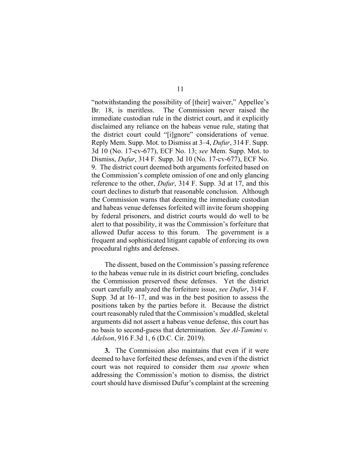"notwithstanding the possibility of [their] waiver," Appellee's Br. 18, is meritless. The Commission never raised the immediate custodian rule in the district court, and it explicitly disclaimed any reliance on the habeas venue rule, stating that the district court could "[i]gnore" considerations of venue. Reply Mem. Supp. Mot. to Dismiss at 3–4, *Dufur*, 314 F. Supp. 3d 10 (No. 17-cv-677), ECF No. 13; *see* Mem. Supp. Mot. to Dismiss, *Dufur*, 314 F. Supp. 3d 10 (No. 17-cv-677), ECF No. 9. The district court deemed both arguments forfeited based on the Commission's complete omission of one and only glancing reference to the other, *Dufur*, 314 F. Supp. 3d at 17, and this court declines to disturb that reasonable conclusion. Although the Commission warns that deeming the immediate custodian and habeas venue defenses forfeited will invite forum shopping by federal prisoners, and district courts would do well to be alert to that possibility, it was the Commission's forfeiture that allowed Dufur access to this forum. The government is a frequent and sophisticated litigant capable of enforcing its own procedural rights and defenses.

The dissent, based on the Commission's passing reference to the habeas venue rule in its district court briefing, concludes the Commission preserved these defenses. Yet the district court carefully analyzed the forfeiture issue, *see Dufur*, 314 F. Supp. 3d at 16–17, and was in the best position to assess the positions taken by the parties before it. Because the district court reasonably ruled that the Commission's muddled, skeletal arguments did not assert a habeas venue defense, this court has no basis to second-guess that determination. *See Al-Tamimi v. Adelson*, 916 F.3d 1, 6 (D.C. Cir. 2019).

**3.** The Commission also maintains that even if it were deemed to have forfeited these defenses, and even if the district court was not required to consider them *sua sponte* when addressing the Commission's motion to dismiss, the district court should have dismissed Dufur's complaint at the screening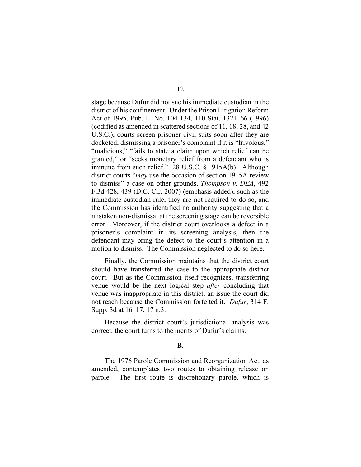stage because Dufur did not sue his immediate custodian in the district of his confinement. Under the Prison Litigation Reform Act of 1995, Pub. L. No. 104-134, 110 Stat. 1321–66 (1996) (codified as amended in scattered sections of 11, 18, 28, and 42 U.S.C.), courts screen prisoner civil suits soon after they are docketed, dismissing a prisoner's complaint if it is "frivolous," "malicious," "fails to state a claim upon which relief can be granted," or "seeks monetary relief from a defendant who is immune from such relief." 28 U.S.C. § 1915A(b). Although district courts "*may* use the occasion of section 1915A review to dismiss" a case on other grounds, *Thompson v. DEA*, 492 F.3d 428, 439 (D.C. Cir. 2007) (emphasis added), such as the immediate custodian rule, they are not required to do so, and the Commission has identified no authority suggesting that a mistaken non-dismissal at the screening stage can be reversible error. Moreover, if the district court overlooks a defect in a prisoner's complaint in its screening analysis, then the defendant may bring the defect to the court's attention in a motion to dismiss. The Commission neglected to do so here.

Finally, the Commission maintains that the district court should have transferred the case to the appropriate district court. But as the Commission itself recognizes, transferring venue would be the next logical step *after* concluding that venue was inappropriate in this district, an issue the court did not reach because the Commission forfeited it. *Dufur*, 314 F. Supp. 3d at 16–17, 17 n.3.

Because the district court's jurisdictional analysis was correct, the court turns to the merits of Dufur's claims.

# **B.**

The 1976 Parole Commission and Reorganization Act, as amended, contemplates two routes to obtaining release on parole. The first route is discretionary parole, which is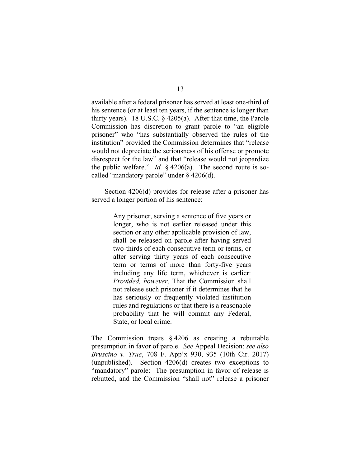available after a federal prisoner has served at least one-third of his sentence (or at least ten years, if the sentence is longer than thirty years). 18 U.S.C. § 4205(a). After that time, the Parole Commission has discretion to grant parole to "an eligible prisoner" who "has substantially observed the rules of the institution" provided the Commission determines that "release would not depreciate the seriousness of his offense or promote disrespect for the law" and that "release would not jeopardize the public welfare." *Id.* § 4206(a). The second route is socalled "mandatory parole" under § 4206(d).

Section 4206(d) provides for release after a prisoner has served a longer portion of his sentence:

> Any prisoner, serving a sentence of five years or longer, who is not earlier released under this section or any other applicable provision of law, shall be released on parole after having served two-thirds of each consecutive term or terms, or after serving thirty years of each consecutive term or terms of more than forty-five years including any life term, whichever is earlier: *Provided, however*, That the Commission shall not release such prisoner if it determines that he has seriously or frequently violated institution rules and regulations or that there is a reasonable probability that he will commit any Federal, State, or local crime.

The Commission treats  $\S$  4206 as creating a rebuttable presumption in favor of parole. *See* Appeal Decision; *see also Bruscino v. True*, 708 F. App'x 930, 935 (10th Cir. 2017) (unpublished). Section 4206(d) creates two exceptions to "mandatory" parole: The presumption in favor of release is rebutted, and the Commission "shall not" release a prisoner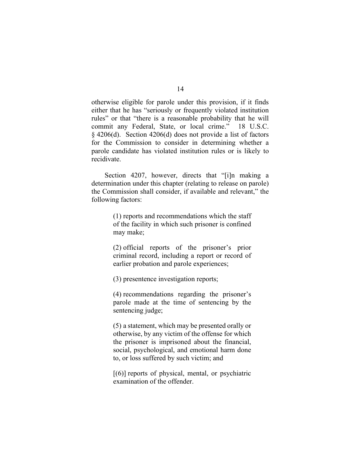otherwise eligible for parole under this provision, if it finds either that he has "seriously or frequently violated institution rules" or that "there is a reasonable probability that he will commit any Federal, State, or local crime." 18 U.S.C. § 4206(d). Section 4206(d) does not provide a list of factors for the Commission to consider in determining whether a parole candidate has violated institution rules or is likely to recidivate.

Section 4207, however, directs that "[i]n making a determination under this chapter (relating to release on parole) the Commission shall consider, if available and relevant," the following factors:

> (1) reports and recommendations which the staff of the facility in which such prisoner is confined may make;

> (2) official reports of the prisoner's prior criminal record, including a report or record of earlier probation and parole experiences;

(3) presentence investigation reports;

(4) recommendations regarding the prisoner's parole made at the time of sentencing by the sentencing judge;

(5) a statement, which may be presented orally or otherwise, by any victim of the offense for which the prisoner is imprisoned about the financial, social, psychological, and emotional harm done to, or loss suffered by such victim; and

 $[(6)]$  reports of physical, mental, or psychiatric examination of the offender.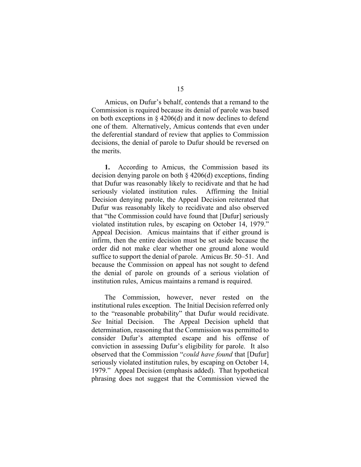Amicus, on Dufur's behalf, contends that a remand to the Commission is required because its denial of parole was based on both exceptions in  $\S$  4206(d) and it now declines to defend one of them. Alternatively, Amicus contends that even under the deferential standard of review that applies to Commission decisions, the denial of parole to Dufur should be reversed on the merits.

**1.** According to Amicus, the Commission based its decision denying parole on both § 4206(d) exceptions, finding that Dufur was reasonably likely to recidivate and that he had seriously violated institution rules. Affirming the Initial Decision denying parole, the Appeal Decision reiterated that Dufur was reasonably likely to recidivate and also observed that "the Commission could have found that [Dufur] seriously violated institution rules, by escaping on October 14, 1979." Appeal Decision. Amicus maintains that if either ground is infirm, then the entire decision must be set aside because the order did not make clear whether one ground alone would suffice to support the denial of parole. Amicus Br. 50–51. And because the Commission on appeal has not sought to defend the denial of parole on grounds of a serious violation of institution rules, Amicus maintains a remand is required.

The Commission, however, never rested on the institutional rules exception. The Initial Decision referred only to the "reasonable probability" that Dufur would recidivate. *See* Initial Decision. The Appeal Decision upheld that determination, reasoning that the Commission was permitted to consider Dufur's attempted escape and his offense of conviction in assessing Dufur's eligibility for parole. It also observed that the Commission "*could have found* that [Dufur] seriously violated institution rules, by escaping on October 14, 1979." Appeal Decision (emphasis added). That hypothetical phrasing does not suggest that the Commission viewed the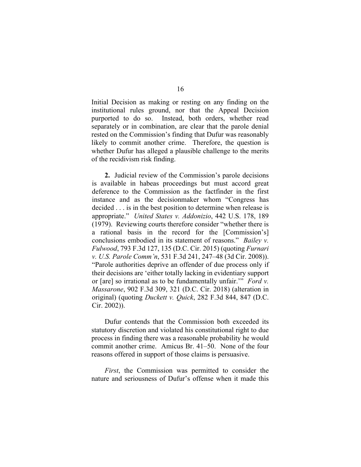Initial Decision as making or resting on any finding on the institutional rules ground, nor that the Appeal Decision purported to do so. Instead, both orders, whether read separately or in combination, are clear that the parole denial rested on the Commission's finding that Dufur was reasonably likely to commit another crime. Therefore, the question is whether Dufur has alleged a plausible challenge to the merits of the recidivism risk finding.

**2.** Judicial review of the Commission's parole decisions is available in habeas proceedings but must accord great deference to the Commission as the factfinder in the first instance and as the decisionmaker whom "Congress has decided . . . is in the best position to determine when release is appropriate." *United States v. Addonizio*, 442 U.S. 178, 189 (1979). Reviewing courts therefore consider "whether there is a rational basis in the record for the [Commission's] conclusions embodied in its statement of reasons." *Bailey v. Fulwood*, 793 F.3d 127, 135 (D.C. Cir. 2015) (quoting *Furnari v. U.S. Parole Comm'n*, 531 F.3d 241, 247–48 (3d Cir. 2008)). "Parole authorities deprive an offender of due process only if their decisions are 'either totally lacking in evidentiary support or [are] so irrational as to be fundamentally unfair.'" *Ford v. Massarone*, 902 F.3d 309, 321 (D.C. Cir. 2018) (alteration in original) (quoting *Duckett v. Quick*, 282 F.3d 844, 847 (D.C. Cir. 2002)).

Dufur contends that the Commission both exceeded its statutory discretion and violated his constitutional right to due process in finding there was a reasonable probability he would commit another crime. Amicus Br. 41–50. None of the four reasons offered in support of those claims is persuasive.

*First*, the Commission was permitted to consider the nature and seriousness of Dufur's offense when it made this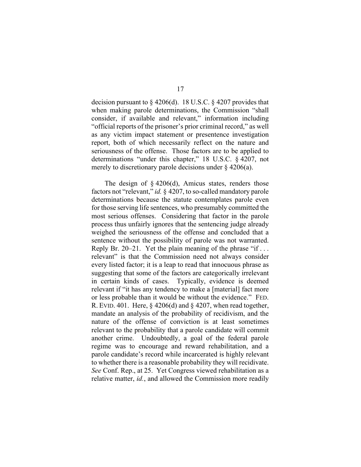decision pursuant to § 4206(d). 18 U.S.C. § 4207 provides that when making parole determinations, the Commission "shall consider, if available and relevant," information including "official reports of the prisoner's prior criminal record," as well as any victim impact statement or presentence investigation report, both of which necessarily reflect on the nature and seriousness of the offense. Those factors are to be applied to determinations "under this chapter," 18 U.S.C. § 4207, not merely to discretionary parole decisions under  $\S$  4206(a).

The design of  $\S$  4206(d), Amicus states, renders those factors not "relevant," *id.* § 4207, to so-called mandatory parole determinations because the statute contemplates parole even for those serving life sentences, who presumably committed the most serious offenses. Considering that factor in the parole process thus unfairly ignores that the sentencing judge already weighed the seriousness of the offense and concluded that a sentence without the possibility of parole was not warranted. Reply Br. 20–21. Yet the plain meaning of the phrase "if ... relevant" is that the Commission need not always consider every listed factor; it is a leap to read that innocuous phrase as suggesting that some of the factors are categorically irrelevant in certain kinds of cases. Typically, evidence is deemed relevant if "it has any tendency to make a [material] fact more or less probable than it would be without the evidence." FED. R. EVID. 401. Here,  $\S$  4206(d) and  $\S$  4207, when read together, mandate an analysis of the probability of recidivism, and the nature of the offense of conviction is at least sometimes relevant to the probability that a parole candidate will commit another crime. Undoubtedly, a goal of the federal parole regime was to encourage and reward rehabilitation, and a parole candidate's record while incarcerated is highly relevant to whether there is a reasonable probability they will recidivate. *See* Conf. Rep., at 25. Yet Congress viewed rehabilitation as a relative matter, *id.*, and allowed the Commission more readily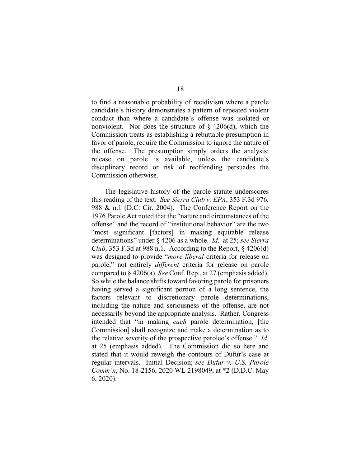to find a reasonable probability of recidivism where a parole candidate's history demonstrates a pattern of repeated violent conduct than where a candidate's offense was isolated or nonviolent. Nor does the structure of  $\S$  4206(d), which the Commission treats as establishing a rebuttable presumption in favor of parole, require the Commission to ignore the nature of the offense. The presumption simply orders the analysis: release on parole is available, unless the candidate's disciplinary record or risk of reoffending persuades the Commission otherwise.

The legislative history of the parole statute underscores this reading of the text. *See Sierra Club v. EPA*, 353 F.3d 976, 988 & n.1 (D.C. Cir. 2004). The Conference Report on the 1976 Parole Act noted that the "nature and circumstances of the offense" and the record of "institutional behavior" are the two "most significant [factors] in making equitable release determinations" under § 4206 as a whole. *Id.* at 25; *see Sierra Club*, 353 F.3d at 988 n.1. According to the Report,  $\S$  4206(d) was designed to provide "*more liberal* criteria for release on parole," not entirely *different* criteria for release on parole compared to § 4206(a). *See* Conf. Rep., at 27 (emphasis added). So while the balance shifts toward favoring parole for prisoners having served a significant portion of a long sentence, the factors relevant to discretionary parole determinations, including the nature and seriousness of the offense, are not necessarily beyond the appropriate analysis. Rather, Congress intended that "in making *each* parole determination, [the Commission] shall recognize and make a determination as to the relative severity of the prospective parolee's offense." *Id.* at 25 (emphasis added). The Commission did so here and stated that it would reweigh the contours of Dufur's case at regular intervals. Initial Decision; *see Dufur v. U.S. Parole Comm'n*, No. 18-2156, 2020 WL 2198049, at \*2 (D.D.C. May 6, 2020).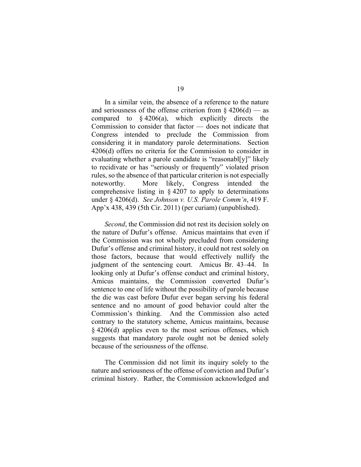In a similar vein, the absence of a reference to the nature and seriousness of the offense criterion from  $\S 4206(d)$  — as compared to  $\frac{206}{a}$ , which explicitly directs the Commission to consider that factor — does not indicate that Congress intended to preclude the Commission from considering it in mandatory parole determinations. Section 4206(d) offers no criteria for the Commission to consider in evaluating whether a parole candidate is "reasonabl[y]" likely to recidivate or has "seriously or frequently" violated prison rules, so the absence of that particular criterion is not especially noteworthy. More likely, Congress intended the comprehensive listing in § 4207 to apply to determinations under § 4206(d). *See Johnson v. U.S. Parole Comm'n*, 419 F. App'x 438, 439 (5th Cir. 2011) (per curiam) (unpublished).

*Second*, the Commission did not rest its decision solely on the nature of Dufur's offense. Amicus maintains that even if the Commission was not wholly precluded from considering Dufur's offense and criminal history, it could not rest solely on those factors, because that would effectively nullify the judgment of the sentencing court. Amicus Br. 43–44. In looking only at Dufur's offense conduct and criminal history, Amicus maintains, the Commission converted Dufur's sentence to one of life without the possibility of parole because the die was cast before Dufur ever began serving his federal sentence and no amount of good behavior could alter the Commission's thinking. And the Commission also acted contrary to the statutory scheme, Amicus maintains, because § 4206(d) applies even to the most serious offenses, which suggests that mandatory parole ought not be denied solely because of the seriousness of the offense.

The Commission did not limit its inquiry solely to the nature and seriousness of the offense of conviction and Dufur's criminal history. Rather, the Commission acknowledged and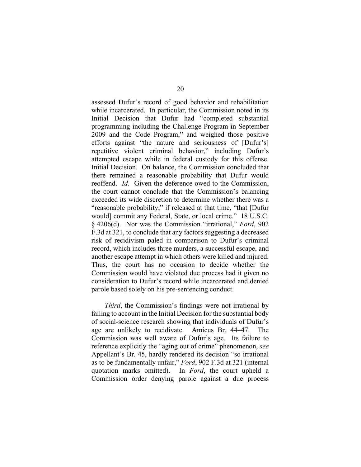assessed Dufur's record of good behavior and rehabilitation while incarcerated. In particular, the Commission noted in its Initial Decision that Dufur had "completed substantial programming including the Challenge Program in September 2009 and the Code Program," and weighed those positive efforts against "the nature and seriousness of [Dufur's] repetitive violent criminal behavior," including Dufur's attempted escape while in federal custody for this offense. Initial Decision. On balance, the Commission concluded that there remained a reasonable probability that Dufur would reoffend. *Id.* Given the deference owed to the Commission, the court cannot conclude that the Commission's balancing exceeded its wide discretion to determine whether there was a "reasonable probability," if released at that time, "that [Dufur would] commit any Federal, State, or local crime." 18 U.S.C. § 4206(d). Nor was the Commission "irrational," *Ford*, 902 F.3d at 321, to conclude that any factors suggesting a decreased risk of recidivism paled in comparison to Dufur's criminal record, which includes three murders, a successful escape, and another escape attempt in which others were killed and injured. Thus, the court has no occasion to decide whether the Commission would have violated due process had it given no consideration to Dufur's record while incarcerated and denied parole based solely on his pre-sentencing conduct.

*Third*, the Commission's findings were not irrational by failing to account in the Initial Decision for the substantial body of social-science research showing that individuals of Dufur's age are unlikely to recidivate. Amicus Br. 44–47. The Commission was well aware of Dufur's age. Its failure to reference explicitly the "aging out of crime" phenomenon, *see*  Appellant's Br. 45, hardly rendered its decision "so irrational as to be fundamentally unfair," *Ford*, 902 F.3d at 321 (internal quotation marks omitted). In *Ford*, the court upheld a Commission order denying parole against a due process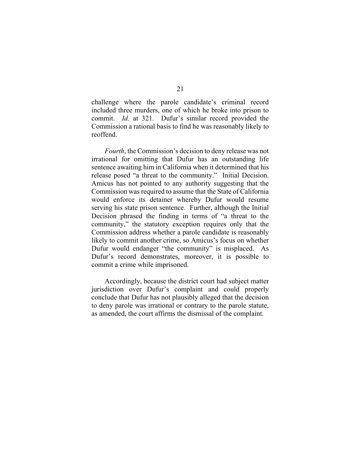challenge where the parole candidate's criminal record included three murders, one of which he broke into prison to commit. *Id.* at 321. Dufur's similar record provided the Commission a rational basis to find he was reasonably likely to reoffend.

*Fourth*, the Commission's decision to deny release was not irrational for omitting that Dufur has an outstanding life sentence awaiting him in California when it determined that his release posed "a threat to the community." Initial Decision. Amicus has not pointed to any authority suggesting that the Commission was required to assume that the State of California would enforce its detainer whereby Dufur would resume serving his state prison sentence. Further, although the Initial Decision phrased the finding in terms of "a threat to the community," the statutory exception requires only that the Commission address whether a parole candidate is reasonably likely to commit another crime, so Amicus's focus on whether Dufur would endanger "the community" is misplaced. As Dufur's record demonstrates, moreover, it is possible to commit a crime while imprisoned.

Accordingly, because the district court had subject matter jurisdiction over Dufur's complaint and could properly conclude that Dufur has not plausibly alleged that the decision to deny parole was irrational or contrary to the parole statute, as amended, the court affirms the dismissal of the complaint.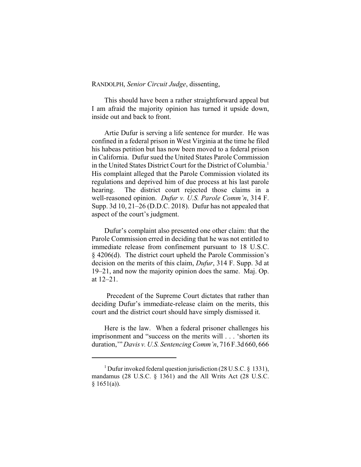# RANDOLPH, *Senior Circuit Judge*, dissenting,

This should have been a rather straightforward appeal but I am afraid the majority opinion has turned it upside down, inside out and back to front.

Artie Dufur is serving a life sentence for murder. He was confined in a federal prison in West Virginia at the time he filed his habeas petition but has now been moved to a federal prison in California. Dufur sued the United States Parole Commission in the United States District Court for the District of Columbia.<sup>1</sup> His complaint alleged that the Parole Commission violated its regulations and deprived him of due process at his last parole hearing. The district court rejected those claims in a well-reasoned opinion. *Dufur v. U.S. Parole Comm'n*, 314 F. Supp. 3d 10, 21–26 (D.D.C. 2018). Dufur has not appealed that aspect of the court's judgment.

Dufur's complaint also presented one other claim: that the Parole Commission erred in deciding that he was not entitled to immediate release from confinement pursuant to 18 U.S.C. § 4206(d). The district court upheld the Parole Commission's decision on the merits of this claim, *Dufur*, 314 F. Supp. 3d at 19–21, and now the majority opinion does the same. Maj. Op. at 12–21.

Precedent of the Supreme Court dictates that rather than deciding Dufur's immediate-release claim on the merits, this court and the district court should have simply dismissed it.

Here is the law. When a federal prisoner challenges his imprisonment and "success on the merits will . . . 'shorten its duration,'" *Davis v. U.S. Sentencing Comm'n*, 716 F.3d 660, 666

<sup>&</sup>lt;sup>1</sup> Dufur invoked federal question jurisdiction (28 U.S.C. § 1331), mandamus (28 U.S.C. § 1361) and the All Writs Act (28 U.S.C.  $§ 1651(a)$ ).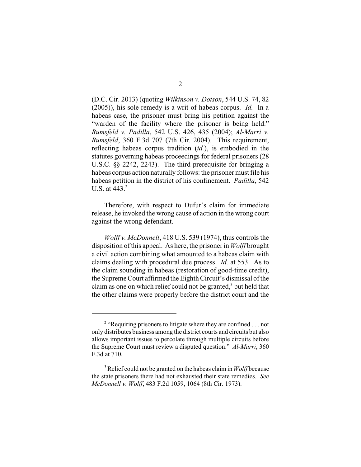(D.C. Cir. 2013) (quoting *Wilkinson v. Dotson*, 544 U.S. 74, 82 (2005)), his sole remedy is a writ of habeas corpus. *Id.* In a habeas case, the prisoner must bring his petition against the "warden of the facility where the prisoner is being held." *Rumsfeld v. Padilla*, 542 U.S. 426, 435 (2004); *Al-Marri v. Rumsfeld*, 360 F.3d 707 (7th Cir. 2004). This requirement, reflecting habeas corpus tradition (*id.*), is embodied in the statutes governing habeas proceedings for federal prisoners (28 U.S.C. §§ 2242, 2243). The third prerequisite for bringing a habeas corpus action naturally follows: the prisoner must file his habeas petition in the district of his confinement. *Padilla*, 542 U.S. at  $443.<sup>2</sup>$ 

Therefore, with respect to Dufur's claim for immediate release, he invoked the wrong cause of action in the wrong court against the wrong defendant.

*Wolff v. McDonnell*, 418 U.S. 539 (1974), thus controls the disposition of this appeal. As here, the prisoner in *Wolff* brought a civil action combining what amounted to a habeas claim with claims dealing with procedural due process. *Id.* at 553. As to the claim sounding in habeas (restoration of good-time credit), the Supreme Court affirmed the Eighth Circuit's dismissal of the claim as one on which relief could not be granted, $3$  but held that the other claims were properly before the district court and the

<sup>&</sup>lt;sup>2</sup> "Requiring prisoners to litigate where they are confined . . . not only distributes business among the district courts and circuits but also allows important issues to percolate through multiple circuits before the Supreme Court must review a disputed question." *Al-Marri*, 360 F.3d at 710.

<sup>&</sup>lt;sup>3</sup> Relief could not be granted on the habeas claim in *Wolff* because the state prisoners there had not exhausted their state remedies. *See McDonnell v. Wolff*, 483 F.2d 1059, 1064 (8th Cir. 1973).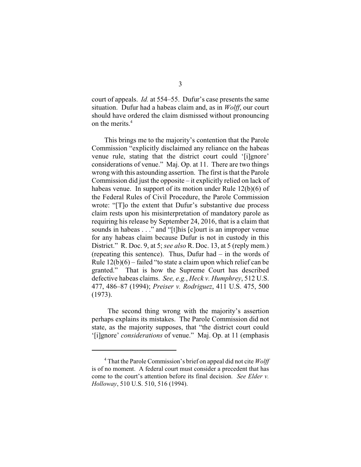court of appeals. *Id.* at 554–55. Dufur's case presents the same situation. Dufur had a habeas claim and, as in *Wolff*, our court should have ordered the claim dismissed without pronouncing on the merits.<sup>4</sup>

This brings me to the majority's contention that the Parole Commission "explicitly disclaimed any reliance on the habeas venue rule, stating that the district court could '[i]gnore' considerations of venue." Maj. Op. at 11. There are two things wrong with this astounding assertion. The first is that the Parole Commission did just the opposite – it explicitly relied on lack of habeas venue. In support of its motion under Rule 12(b)(6) of the Federal Rules of Civil Procedure, the Parole Commission wrote: "[T]o the extent that Dufur's substantive due process claim rests upon his misinterpretation of mandatory parole as requiring his release by September 24, 2016, that is a claim that sounds in habeas . . ." and "[t]his [c]ourt is an improper venue for any habeas claim because Dufur is not in custody in this District." R. Doc. 9, at 5; *see also* R. Doc. 13, at 5 (reply mem.) (repeating this sentence). Thus, Dufur had – in the words of Rule 12(b)(6) – failed "to state a claim upon which relief can be granted." That is how the Supreme Court has described defective habeas claims. *See, e.g.*, *Heck v. Humphrey*, 512 U.S. 477, 486–87 (1994); *Preiser v. Rodriguez*, 411 U.S. 475, 500 (1973).

The second thing wrong with the majority's assertion perhaps explains its mistakes. The Parole Commission did not state, as the majority supposes, that "the district court could '[i]gnore' *considerations* of venue." Maj. Op. at 11 (emphasis

That the Parole Commission's brief on appeal did not cite *Wolff* <sup>4</sup> is of no moment. A federal court must consider a precedent that has come to the court's attention before its final decision. *See Elder v. Holloway*, 510 U.S. 510, 516 (1994).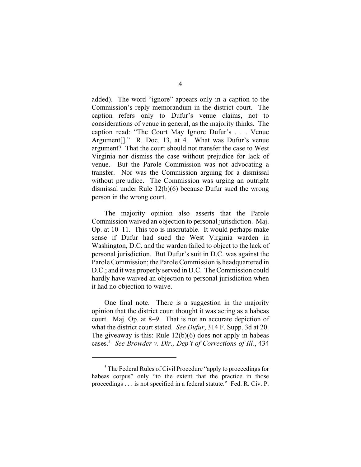added). The word "ignore" appears only in a caption to the Commission's reply memorandum in the district court. The caption refers only to Dufur's venue claims, not to considerations of venue in general, as the majority thinks. The caption read: "The Court May Ignore Dufur's . . . Venue Argument[]." R. Doc. 13, at 4. What was Dufur's venue argument? That the court should not transfer the case to West Virginia nor dismiss the case without prejudice for lack of venue. But the Parole Commission was not advocating a transfer. Nor was the Commission arguing for a dismissal without prejudice. The Commission was urging an outright dismissal under Rule 12(b)(6) because Dufur sued the wrong person in the wrong court.

The majority opinion also asserts that the Parole Commission waived an objection to personal jurisdiction. Maj. Op. at 10–11. This too is inscrutable. It would perhaps make sense if Dufur had sued the West Virginia warden in Washington, D.C. and the warden failed to object to the lack of personal jurisdiction. But Dufur's suit in D.C. was against the Parole Commission; the Parole Commission is headquartered in D.C.; and it was properly served in D.C. The Commission could hardly have waived an objection to personal jurisdiction when it had no objection to waive.

One final note. There is a suggestion in the majority opinion that the district court thought it was acting as a habeas court. Maj. Op. at 8–9. That is not an accurate depiction of what the district court stated. *See Dufur*, 314 F. Supp. 3d at 20. The giveaway is this: Rule  $12(b)(6)$  does not apply in habeas cases.<sup>5</sup> See Browder v. Dir., Dep't of Corrections of Ill., 434

 $<sup>5</sup>$  The Federal Rules of Civil Procedure "apply to proceedings for</sup> habeas corpus" only "to the extent that the practice in those proceedings . . . is not specified in a federal statute." Fed. R. Civ. P.